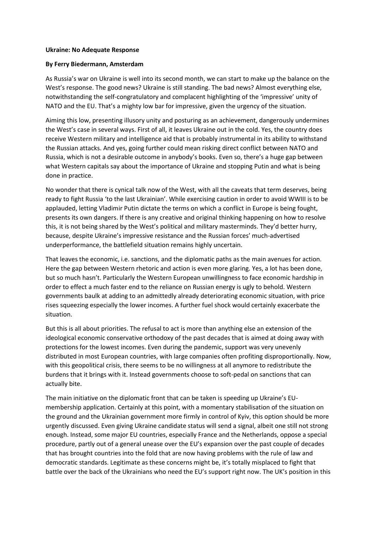## **Ukraine: No Adequate Response**

## **By Ferry Biedermann, Amsterdam**

As Russia's war on Ukraine is well into its second month, we can start to make up the balance on the West's response. The good news? Ukraine is still standing. The bad news? Almost everything else, notwithstanding the self-congratulatory and complacent highlighting of the 'impressive' unity of NATO and the EU. That's a mighty low bar for impressive, given the urgency of the situation.

Aiming this low, presenting illusory unity and posturing as an achievement, dangerously undermines the West's case in several ways. First of all, it leaves Ukraine out in the cold. Yes, the country does receive Western military and intelligence aid that is probably instrumental in its ability to withstand the Russian attacks. And yes, going further could mean risking direct conflict between NATO and Russia, which is not a desirable outcome in anybody's books. Even so, there's a huge gap between what Western capitals say about the importance of Ukraine and stopping Putin and what is being done in practice.

No wonder that there is cynical talk now of the West, with all the caveats that term deserves, being ready to fight Russia 'to the last Ukrainian'. While exercising caution in order to avoid WWIII is to be applauded, letting Vladimir Putin dictate the terms on which a conflict in Europe is being fought, presents its own dangers. If there is any creative and original thinking happening on how to resolve this, it is not being shared by the West's political and military masterminds. They'd better hurry, because, despite Ukraine's impressive resistance and the Russian forces' much-advertised underperformance, the battlefield situation remains highly uncertain.

That leaves the economic, i.e. sanctions, and the diplomatic paths as the main avenues for action. Here the gap between Western rhetoric and action is even more glaring. Yes, a lot has been done, but so much hasn't. Particularly the Western European unwillingness to face economic hardship in order to effect a much faster end to the reliance on Russian energy is ugly to behold. Western governments baulk at adding to an admittedly already deteriorating economic situation, with price rises squeezing especially the lower incomes. A further fuel shock would certainly exacerbate the situation.

But this is all about priorities. The refusal to act is more than anything else an extension of the ideological economic conservative orthodoxy of the past decades that is aimed at doing away with protections for the lowest incomes. Even during the pandemic, support was very unevenly distributed in most European countries, with large companies often profiting disproportionally. Now, with this geopolitical crisis, there seems to be no willingness at all anymore to redistribute the burdens that it brings with it. Instead governments choose to soft-pedal on sanctions that can actually bite.

The main initiative on the diplomatic front that can be taken is speeding up Ukraine's EUmembership application. Certainly at this point, with a momentary stabilisation of the situation on the ground and the Ukrainian government more firmly in control of Kyiv, this option should be more urgently discussed. Even giving Ukraine candidate status will send a signal, albeit one still not strong enough. Instead, some major EU countries, especially France and the Netherlands, oppose a special procedure, partly out of a general unease over the EU's expansion over the past couple of decades that has brought countries into the fold that are now having problems with the rule of law and democratic standards. Legitimate as these concerns might be, it's totally misplaced to fight that battle over the back of the Ukrainians who need the EU's support right now. The UK's position in this